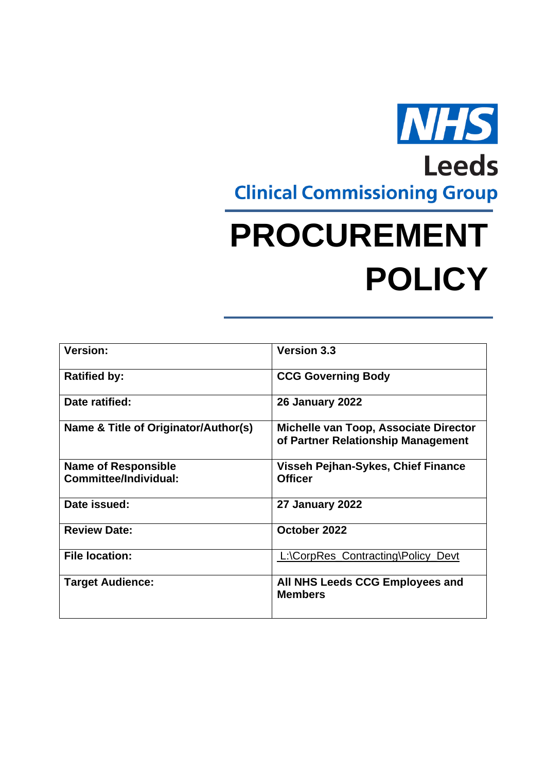

# **PROCUREMENT POLICY**

| <b>Version:</b>                      | <b>Version 3.3</b>                                                          |  |
|--------------------------------------|-----------------------------------------------------------------------------|--|
| <b>Ratified by:</b>                  | <b>CCG Governing Body</b>                                                   |  |
| Date ratified:                       | <b>26 January 2022</b>                                                      |  |
| Name & Title of Originator/Author(s) | Michelle van Toop, Associate Director<br>of Partner Relationship Management |  |
| <b>Name of Responsible</b>           | Visseh Pejhan-Sykes, Chief Finance                                          |  |
| Committee/Individual:                | <b>Officer</b>                                                              |  |
| Date issued:                         | 27 January 2022                                                             |  |
| <b>Review Date:</b>                  | October 2022                                                                |  |
| <b>File location:</b>                | L:\CorpRes_Contracting\Policy_Devt                                          |  |
| <b>Target Audience:</b>              | All NHS Leeds CCG Employees and<br><b>Members</b>                           |  |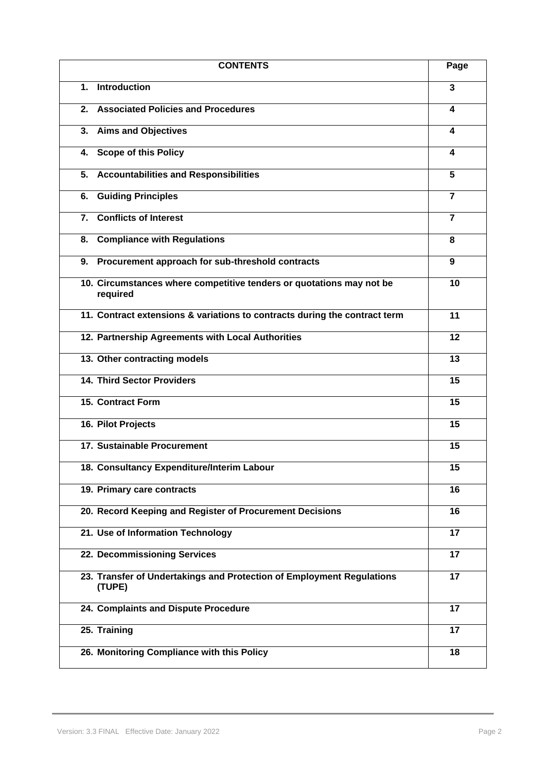|    | <b>CONTENTS</b>                                                                  | Page           |
|----|----------------------------------------------------------------------------------|----------------|
| 1. | <b>Introduction</b>                                                              | 3              |
| 2. | <b>Associated Policies and Procedures</b>                                        | 4              |
| 3. | <b>Aims and Objectives</b>                                                       | 4              |
| 4. | <b>Scope of this Policy</b>                                                      | 4              |
| 5. | <b>Accountabilities and Responsibilities</b>                                     | 5              |
| 6. | <b>Guiding Principles</b>                                                        | $\overline{7}$ |
| 7. | <b>Conflicts of Interest</b>                                                     | $\overline{7}$ |
| 8. | <b>Compliance with Regulations</b>                                               | 8              |
| 9. | Procurement approach for sub-threshold contracts                                 | 9              |
|    | 10. Circumstances where competitive tenders or quotations may not be<br>required | 10             |
|    | 11. Contract extensions & variations to contracts during the contract term       | 11             |
|    | 12. Partnership Agreements with Local Authorities                                | 12             |
|    | 13. Other contracting models                                                     | 13             |
|    | <b>14. Third Sector Providers</b>                                                | 15             |
|    | <b>15. Contract Form</b>                                                         | 15             |
|    | 16. Pilot Projects                                                               | 15             |
|    | 17. Sustainable Procurement                                                      | 15             |
|    | 18. Consultancy Expenditure/Interim Labour                                       | 15             |
|    | 19. Primary care contracts                                                       | 16             |
|    | 20. Record Keeping and Register of Procurement Decisions                         | 16             |
|    | 21. Use of Information Technology                                                | 17             |
|    | 22. Decommissioning Services                                                     | 17             |
|    | 23. Transfer of Undertakings and Protection of Employment Regulations<br>(TUPE)  | 17             |
|    | 24. Complaints and Dispute Procedure                                             | 17             |
|    | 25. Training                                                                     | 17             |
|    | 26. Monitoring Compliance with this Policy                                       | 18             |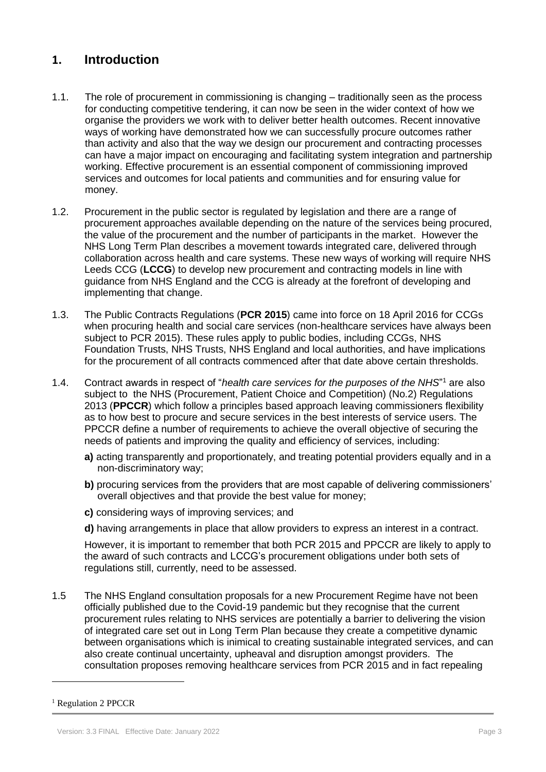## **1. Introduction**

- 1.1. The role of procurement in commissioning is changing traditionally seen as the process for conducting competitive tendering, it can now be seen in the wider context of how we organise the providers we work with to deliver better health outcomes. Recent innovative ways of working have demonstrated how we can successfully procure outcomes rather than activity and also that the way we design our procurement and contracting processes can have a major impact on encouraging and facilitating system integration and partnership working. Effective procurement is an essential component of commissioning improved services and outcomes for local patients and communities and for ensuring value for money.
- 1.2. Procurement in the public sector is regulated by legislation and there are a range of procurement approaches available depending on the nature of the services being procured, the value of the procurement and the number of participants in the market. However the NHS Long Term Plan describes a movement towards integrated care, delivered through collaboration across health and care systems. These new ways of working will require NHS Leeds CCG (**LCCG**) to develop new procurement and contracting models in line with guidance from NHS England and the CCG is already at the forefront of developing and implementing that change.
- 1.3. The Public Contracts Regulations (**PCR 2015**) came into force on 18 April 2016 for CCGs when procuring health and social care services (non-healthcare services have always been subject to PCR 2015). These rules apply to public bodies, including CCGs, NHS Foundation Trusts, NHS Trusts, NHS England and local authorities, and have implications for the procurement of all contracts commenced after that date above certain thresholds.
- 1.4. Contract awards in respect of "*health care services for the purposes of the NHS*" <sup>1</sup> are also subject to the NHS (Procurement, Patient Choice and Competition) (No.2) Regulations 2013 (**PPCCR**) which follow a principles based approach leaving commissioners flexibility as to how best to procure and secure services in the best interests of service users. The PPCCR define a number of requirements to achieve the overall objective of securing the needs of patients and improving the quality and efficiency of services, including:
	- **a)** acting transparently and proportionately, and treating potential providers equally and in a non-discriminatory way;
	- **b)** procuring services from the providers that are most capable of delivering commissioners' overall objectives and that provide the best value for money;
	- **c)** considering ways of improving services; and
	- **d)** having arrangements in place that allow providers to express an interest in a contract.

However, it is important to remember that both PCR 2015 and PPCCR are likely to apply to the award of such contracts and LCCG's procurement obligations under both sets of regulations still, currently, need to be assessed.

1.5 The NHS England consultation proposals for a new Procurement Regime have not been officially published due to the Covid-19 pandemic but they recognise that the current procurement rules relating to NHS services are potentially a barrier to delivering the vision of integrated care set out in Long Term Plan because they create a competitive dynamic between organisations which is inimical to creating sustainable integrated services, and can also create continual uncertainty, upheaval and disruption amongst providers. The consultation proposes removing healthcare services from PCR 2015 and in fact repealing

<sup>&</sup>lt;sup>1</sup> Regulation 2 PPCCR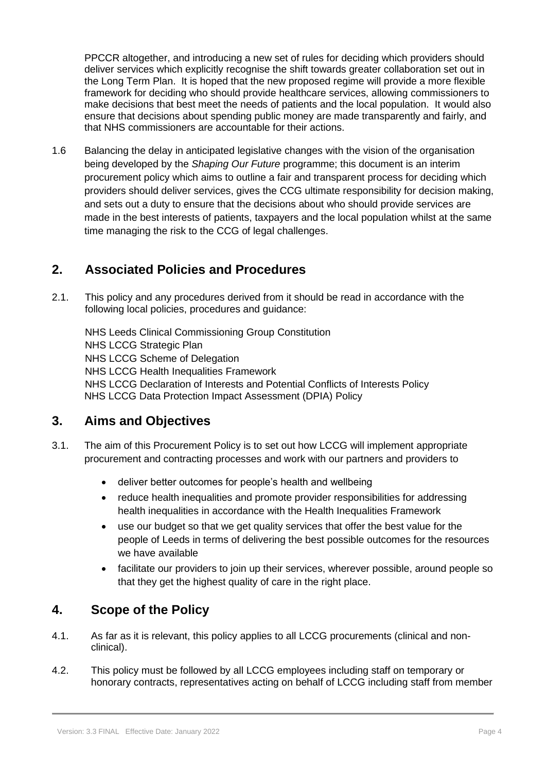PPCCR altogether, and introducing a new set of rules for deciding which providers should deliver services which explicitly recognise the shift towards greater collaboration set out in the Long Term Plan. It is hoped that the new proposed regime will provide a more flexible framework for deciding who should provide healthcare services, allowing commissioners to make decisions that best meet the needs of patients and the local population. It would also ensure that decisions about spending public money are made transparently and fairly, and that NHS commissioners are accountable for their actions.

1.6 Balancing the delay in anticipated legislative changes with the vision of the organisation being developed by the *Shaping Our Future* programme; this document is an interim procurement policy which aims to outline a fair and transparent process for deciding which providers should deliver services, gives the CCG ultimate responsibility for decision making, and sets out a duty to ensure that the decisions about who should provide services are made in the best interests of patients, taxpayers and the local population whilst at the same time managing the risk to the CCG of legal challenges.

# **2. Associated Policies and Procedures**

2.1. This policy and any procedures derived from it should be read in accordance with the following local policies, procedures and guidance:

NHS Leeds Clinical Commissioning Group Constitution NHS LCCG Strategic Plan NHS LCCG Scheme of Delegation NHS LCCG Health Inequalities Framework NHS LCCG Declaration of Interests and Potential Conflicts of Interests Policy NHS LCCG Data Protection Impact Assessment (DPIA) Policy

## **3. Aims and Objectives**

- 3.1. The aim of this Procurement Policy is to set out how LCCG will implement appropriate procurement and contracting processes and work with our partners and providers to
	- deliver better outcomes for people's health and wellbeing
	- reduce health inequalities and promote provider responsibilities for addressing health inequalities in accordance with the Health Inequalities Framework
	- use our budget so that we get quality services that offer the best value for the people of Leeds in terms of delivering the best possible outcomes for the resources we have available
	- facilitate our providers to join up their services, wherever possible, around people so that they get the highest quality of care in the right place.

# **4. Scope of the Policy**

- 4.1. As far as it is relevant, this policy applies to all LCCG procurements (clinical and nonclinical).
- 4.2. This policy must be followed by all LCCG employees including staff on temporary or honorary contracts, representatives acting on behalf of LCCG including staff from member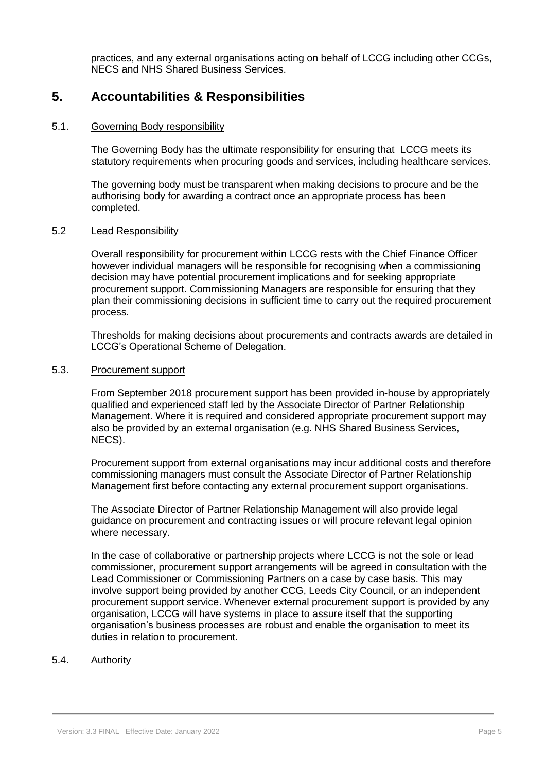practices, and any external organisations acting on behalf of LCCG including other CCGs, NECS and NHS Shared Business Services.

## **5. Accountabilities & Responsibilities**

#### 5.1. Governing Body responsibility

The Governing Body has the ultimate responsibility for ensuring that LCCG meets its statutory requirements when procuring goods and services, including healthcare services.

The governing body must be transparent when making decisions to procure and be the authorising body for awarding a contract once an appropriate process has been completed.

#### 5.2 Lead Responsibility

Overall responsibility for procurement within LCCG rests with the Chief Finance Officer however individual managers will be responsible for recognising when a commissioning decision may have potential procurement implications and for seeking appropriate procurement support. Commissioning Managers are responsible for ensuring that they plan their commissioning decisions in sufficient time to carry out the required procurement process.

Thresholds for making decisions about procurements and contracts awards are detailed in LCCG's Operational Scheme of Delegation.

## 5.3. Procurement support

From September 2018 procurement support has been provided in-house by appropriately qualified and experienced staff led by the Associate Director of Partner Relationship Management. Where it is required and considered appropriate procurement support may also be provided by an external organisation (e.g. NHS Shared Business Services, NECS).

Procurement support from external organisations may incur additional costs and therefore commissioning managers must consult the Associate Director of Partner Relationship Management first before contacting any external procurement support organisations.

The Associate Director of Partner Relationship Management will also provide legal guidance on procurement and contracting issues or will procure relevant legal opinion where necessary.

In the case of collaborative or partnership projects where LCCG is not the sole or lead commissioner, procurement support arrangements will be agreed in consultation with the Lead Commissioner or Commissioning Partners on a case by case basis. This may involve support being provided by another CCG, Leeds City Council, or an independent procurement support service. Whenever external procurement support is provided by any organisation, LCCG will have systems in place to assure itself that the supporting organisation's business processes are robust and enable the organisation to meet its duties in relation to procurement.

## 5.4. Authority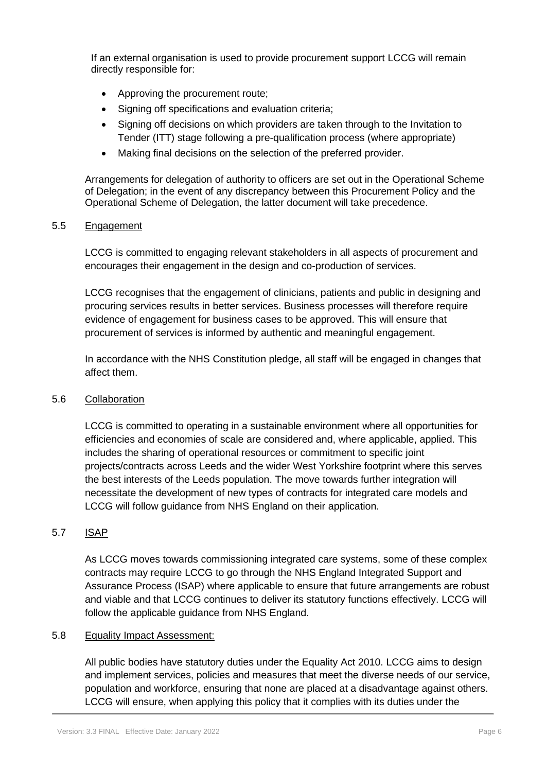If an external organisation is used to provide procurement support LCCG will remain directly responsible for:

- Approving the procurement route;
- Signing off specifications and evaluation criteria:
- Signing off decisions on which providers are taken through to the Invitation to Tender (ITT) stage following a pre-qualification process (where appropriate)
- Making final decisions on the selection of the preferred provider.

Arrangements for delegation of authority to officers are set out in the Operational Scheme of Delegation; in the event of any discrepancy between this Procurement Policy and the Operational Scheme of Delegation, the latter document will take precedence.

## 5.5 Engagement

LCCG is committed to engaging relevant stakeholders in all aspects of procurement and encourages their engagement in the design and co-production of services.

LCCG recognises that the engagement of clinicians, patients and public in designing and procuring services results in better services. Business processes will therefore require evidence of engagement for business cases to be approved. This will ensure that procurement of services is informed by authentic and meaningful engagement.

In accordance with the NHS Constitution pledge, all staff will be engaged in changes that affect them.

## 5.6 Collaboration

LCCG is committed to operating in a sustainable environment where all opportunities for efficiencies and economies of scale are considered and, where applicable, applied. This includes the sharing of operational resources or commitment to specific joint projects/contracts across Leeds and the wider West Yorkshire footprint where this serves the best interests of the Leeds population. The move towards further integration will necessitate the development of new types of contracts for integrated care models and LCCG will follow guidance from NHS England on their application.

## 5.7 ISAP

As LCCG moves towards commissioning integrated care systems, some of these complex contracts may require LCCG to go through the NHS England Integrated Support and Assurance Process (ISAP) where applicable to ensure that future arrangements are robust and viable and that LCCG continues to deliver its statutory functions effectively. LCCG will follow the applicable guidance from NHS England.

#### 5.8 Equality Impact Assessment:

All public bodies have statutory duties under the Equality Act 2010. LCCG aims to design and implement services, policies and measures that meet the diverse needs of our service, population and workforce, ensuring that none are placed at a disadvantage against others. LCCG will ensure, when applying this policy that it complies with its duties under the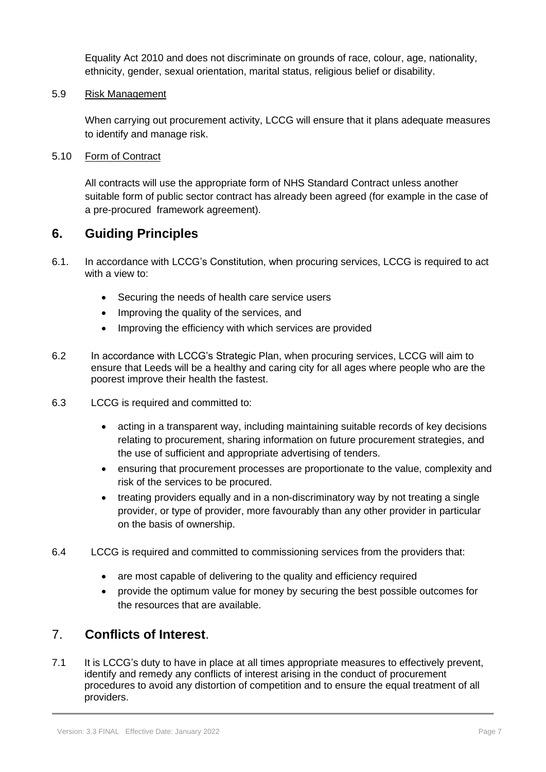Equality Act 2010 and does not discriminate on grounds of race, colour, age, nationality, ethnicity, gender, sexual orientation, marital status, religious belief or disability.

## 5.9 Risk Management

When carrying out procurement activity, LCCG will ensure that it plans adequate measures to identify and manage risk.

## 5.10 Form of Contract

All contracts will use the appropriate form of NHS Standard Contract unless another suitable form of public sector contract has already been agreed (for example in the case of a pre-procured framework agreement).

## **6. Guiding Principles**

- 6.1. In accordance with LCCG's Constitution, when procuring services, LCCG is required to act with a view to:
	- Securing the needs of health care service users
	- Improving the quality of the services, and
	- Improving the efficiency with which services are provided
- 6.2 In accordance with LCCG's Strategic Plan, when procuring services, LCCG will aim to ensure that Leeds will be a healthy and caring city for all ages where people who are the poorest improve their health the fastest.
- 6.3 LCCG is required and committed to:
	- acting in a transparent way, including maintaining suitable records of key decisions relating to procurement, sharing information on future procurement strategies, and the use of sufficient and appropriate advertising of tenders.
	- ensuring that procurement processes are proportionate to the value, complexity and risk of the services to be procured.
	- treating providers equally and in a non-discriminatory way by not treating a single provider, or type of provider, more favourably than any other provider in particular on the basis of ownership.
- 6.4 LCCG is required and committed to commissioning services from the providers that:
	- are most capable of delivering to the quality and efficiency required
	- provide the optimum value for money by securing the best possible outcomes for the resources that are available.

# 7. **Conflicts of Interest**.

7.1 It is LCCG's duty to have in place at all times appropriate measures to effectively prevent, identify and remedy any conflicts of interest arising in the conduct of procurement procedures to avoid any distortion of competition and to ensure the equal treatment of all providers.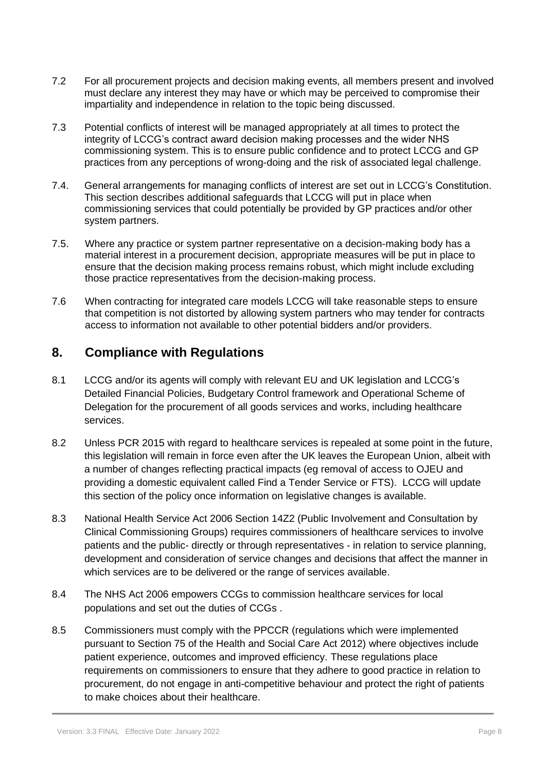- 7.2 For all procurement projects and decision making events, all members present and involved must declare any interest they may have or which may be perceived to compromise their impartiality and independence in relation to the topic being discussed.
- 7.3 Potential conflicts of interest will be managed appropriately at all times to protect the integrity of LCCG's contract award decision making processes and the wider NHS commissioning system. This is to ensure public confidence and to protect LCCG and GP practices from any perceptions of wrong-doing and the risk of associated legal challenge.
- 7.4. General arrangements for managing conflicts of interest are set out in LCCG's Constitution. This section describes additional safeguards that LCCG will put in place when commissioning services that could potentially be provided by GP practices and/or other system partners.
- 7.5. Where any practice or system partner representative on a decision-making body has a material interest in a procurement decision, appropriate measures will be put in place to ensure that the decision making process remains robust, which might include excluding those practice representatives from the decision-making process.
- 7.6 When contracting for integrated care models LCCG will take reasonable steps to ensure that competition is not distorted by allowing system partners who may tender for contracts access to information not available to other potential bidders and/or providers.

# **8. Compliance with Regulations**

- 8.1 LCCG and/or its agents will comply with relevant EU and UK legislation and LCCG's Detailed Financial Policies, Budgetary Control framework and Operational Scheme of Delegation for the procurement of all goods services and works, including healthcare services.
- 8.2 Unless PCR 2015 with regard to healthcare services is repealed at some point in the future, this legislation will remain in force even after the UK leaves the European Union, albeit with a number of changes reflecting practical impacts (eg removal of access to OJEU and providing a domestic equivalent called Find a Tender Service or FTS). LCCG will update this section of the policy once information on legislative changes is available.
- 8.3 National Health Service Act 2006 Section 14Z2 (Public Involvement and Consultation by Clinical Commissioning Groups) requires commissioners of healthcare services to involve patients and the public- directly or through representatives - in relation to service planning, development and consideration of service changes and decisions that affect the manner in which services are to be delivered or the range of services available.
- 8.4 The NHS Act 2006 empowers CCGs to commission healthcare services for local populations and set out the duties of CCGs .
- 8.5 Commissioners must comply with the PPCCR (regulations which were implemented pursuant to Section 75 of the Health and Social Care Act 2012) where objectives include patient experience, outcomes and improved efficiency. These regulations place requirements on commissioners to ensure that they adhere to good practice in relation to procurement, do not engage in anti-competitive behaviour and protect the right of patients to make choices about their healthcare.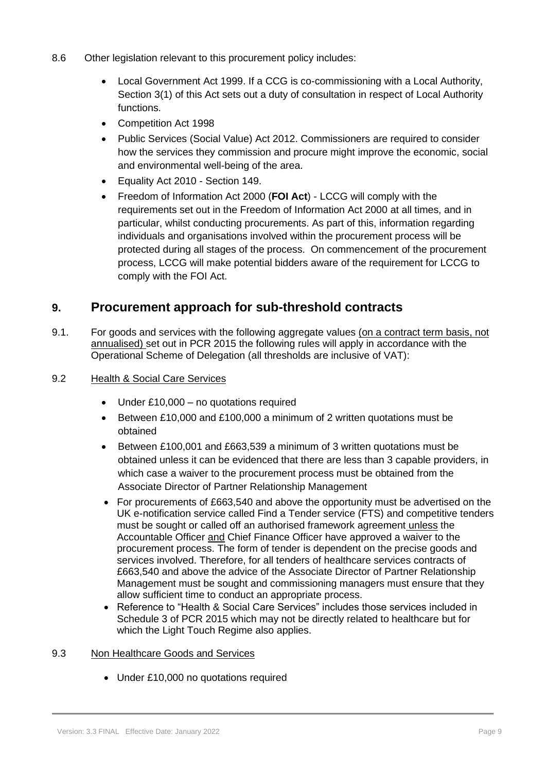- 8.6 Other legislation relevant to this procurement policy includes:
	- Local Government Act 1999. If a CCG is co-commissioning with a Local Authority, Section 3(1) of this Act sets out a duty of consultation in respect of Local Authority functions.
	- Competition Act 1998
	- Public Services (Social Value) Act 2012. Commissioners are required to consider how the services they commission and procure might improve the economic, social and environmental well-being of the area.
	- Equality Act 2010 Section 149.
	- Freedom of Information Act 2000 (**FOI Act**) LCCG will comply with the requirements set out in the Freedom of Information Act 2000 at all times, and in particular, whilst conducting procurements. As part of this, information regarding individuals and organisations involved within the procurement process will be protected during all stages of the process. On commencement of the procurement process, LCCG will make potential bidders aware of the requirement for LCCG to comply with the FOI Act.

## **9. Procurement approach for sub-threshold contracts**

9.1. For goods and services with the following aggregate values (on a contract term basis, not annualised) set out in PCR 2015 the following rules will apply in accordance with the Operational Scheme of Delegation (all thresholds are inclusive of VAT):

#### 9.2 Health & Social Care Services

- Under £10,000 no quotations required
- Between £10,000 and £100,000 a minimum of 2 written quotations must be obtained
- Between £100,001 and £663,539 a minimum of 3 written quotations must be obtained unless it can be evidenced that there are less than 3 capable providers, in which case a waiver to the procurement process must be obtained from the Associate Director of Partner Relationship Management
- For procurements of £663,540 and above the opportunity must be advertised on the UK e-notification service called Find a Tender service (FTS) and competitive tenders must be sought or called off an authorised framework agreement unless the Accountable Officer and Chief Finance Officer have approved a waiver to the procurement process. The form of tender is dependent on the precise goods and services involved. Therefore, for all tenders of healthcare services contracts of £663,540 and above the advice of the Associate Director of Partner Relationship Management must be sought and commissioning managers must ensure that they allow sufficient time to conduct an appropriate process.
- Reference to "Health & Social Care Services" includes those services included in Schedule 3 of PCR 2015 which may not be directly related to healthcare but for which the Light Touch Regime also applies.

#### 9.3 Non Healthcare Goods and Services

• Under £10,000 no quotations required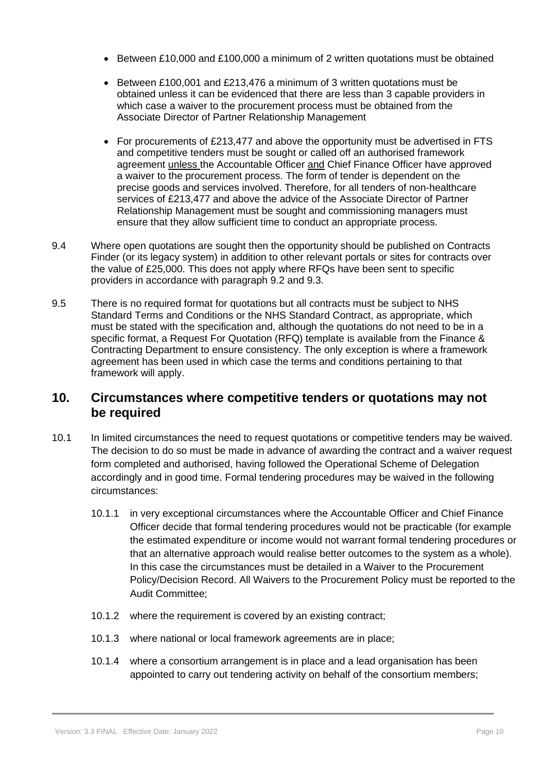- Between £10,000 and £100,000 a minimum of 2 written quotations must be obtained
- Between £100,001 and £213,476 a minimum of 3 written quotations must be obtained unless it can be evidenced that there are less than 3 capable providers in which case a waiver to the procurement process must be obtained from the Associate Director of Partner Relationship Management
- For procurements of £213,477 and above the opportunity must be advertised in FTS and competitive tenders must be sought or called off an authorised framework agreement unless the Accountable Officer and Chief Finance Officer have approved a waiver to the procurement process. The form of tender is dependent on the precise goods and services involved. Therefore, for all tenders of non-healthcare services of £213,477 and above the advice of the Associate Director of Partner Relationship Management must be sought and commissioning managers must ensure that they allow sufficient time to conduct an appropriate process.
- 9.4 Where open quotations are sought then the opportunity should be published on Contracts Finder (or its legacy system) in addition to other relevant portals or sites for contracts over the value of £25,000. This does not apply where RFQs have been sent to specific providers in accordance with paragraph 9.2 and 9.3.
- 9.5 There is no required format for quotations but all contracts must be subject to NHS Standard Terms and Conditions or the NHS Standard Contract, as appropriate, which must be stated with the specification and, although the quotations do not need to be in a specific format, a Request For Quotation (RFQ) template is available from the Finance & Contracting Department to ensure consistency. The only exception is where a framework agreement has been used in which case the terms and conditions pertaining to that framework will apply.

## **10. Circumstances where competitive tenders or quotations may not be required**

- 10.1 In limited circumstances the need to request quotations or competitive tenders may be waived. The decision to do so must be made in advance of awarding the contract and a waiver request form completed and authorised, having followed the Operational Scheme of Delegation accordingly and in good time. Formal tendering procedures may be waived in the following circumstances:
	- 10.1.1 in very exceptional circumstances where the Accountable Officer and Chief Finance Officer decide that formal tendering procedures would not be practicable (for example the estimated expenditure or income would not warrant formal tendering procedures or that an alternative approach would realise better outcomes to the system as a whole). In this case the circumstances must be detailed in a Waiver to the Procurement Policy/Decision Record. All Waivers to the Procurement Policy must be reported to the Audit Committee;
	- 10.1.2 where the requirement is covered by an existing contract;
	- 10.1.3 where national or local framework agreements are in place;
	- 10.1.4 where a consortium arrangement is in place and a lead organisation has been appointed to carry out tendering activity on behalf of the consortium members;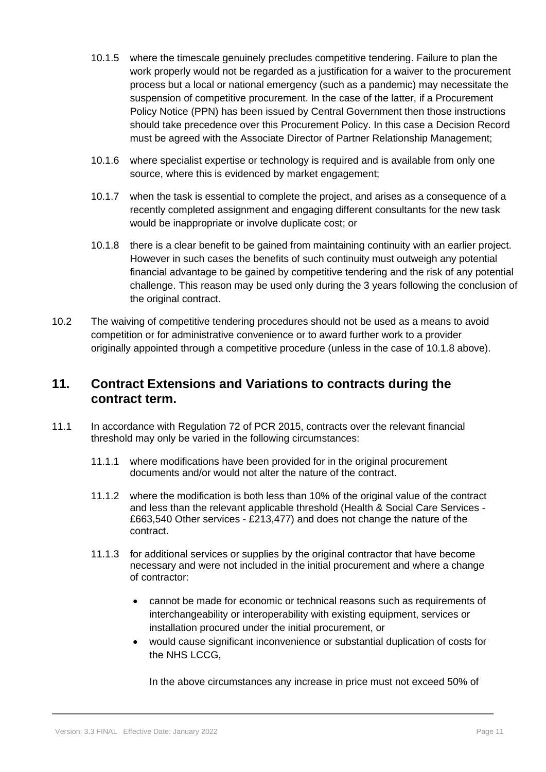- 10.1.5 where the timescale genuinely precludes competitive tendering. Failure to plan the work properly would not be regarded as a justification for a waiver to the procurement process but a local or national emergency (such as a pandemic) may necessitate the suspension of competitive procurement. In the case of the latter, if a Procurement Policy Notice (PPN) has been issued by Central Government then those instructions should take precedence over this Procurement Policy. In this case a Decision Record must be agreed with the Associate Director of Partner Relationship Management;
- 10.1.6 where specialist expertise or technology is required and is available from only one source, where this is evidenced by market engagement;
- 10.1.7 when the task is essential to complete the project, and arises as a consequence of a recently completed assignment and engaging different consultants for the new task would be inappropriate or involve duplicate cost; or
- 10.1.8 there is a clear benefit to be gained from maintaining continuity with an earlier project. However in such cases the benefits of such continuity must outweigh any potential financial advantage to be gained by competitive tendering and the risk of any potential challenge. This reason may be used only during the 3 years following the conclusion of the original contract.
- 10.2 The waiving of competitive tendering procedures should not be used as a means to avoid competition or for administrative convenience or to award further work to a provider originally appointed through a competitive procedure (unless in the case of 10.1.8 above).

## **11. Contract Extensions and Variations to contracts during the contract term.**

- 11.1 In accordance with Regulation 72 of PCR 2015, contracts over the relevant financial threshold may only be varied in the following circumstances:
	- 11.1.1 where modifications have been provided for in the original procurement documents and/or would not alter the nature of the contract.
	- 11.1.2 where the modification is both less than 10% of the original value of the contract and less than the relevant applicable threshold (Health & Social Care Services - £663,540 Other services - £213,477) and does not change the nature of the contract.
	- 11.1.3 for additional services or supplies by the original contractor that have become necessary and were not included in the initial procurement and where a change of contractor:
		- cannot be made for economic or technical reasons such as requirements of interchangeability or interoperability with existing equipment, services or installation procured under the initial procurement, or
		- would cause significant inconvenience or substantial duplication of costs for the NHS LCCG,

In the above circumstances any increase in price must not exceed 50% of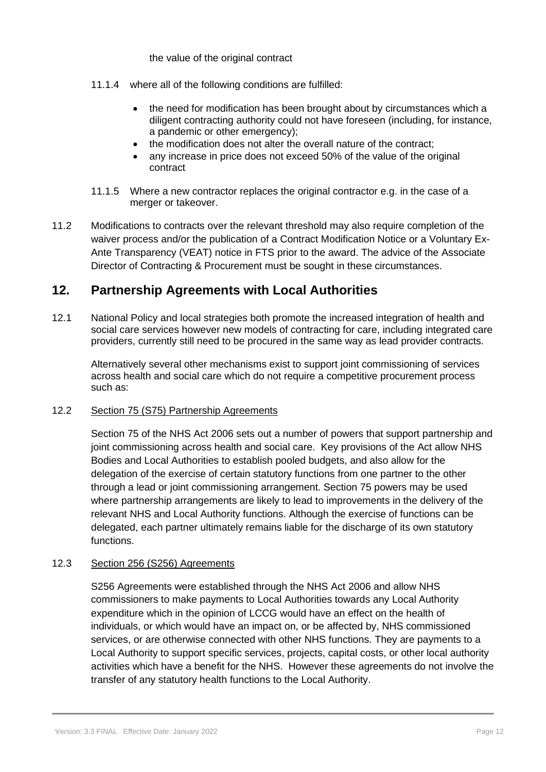the value of the original contract

- 11.1.4 where all of the following conditions are fulfilled:
	- the need for modification has been brought about by circumstances which a diligent contracting authority could not have foreseen (including, for instance, a pandemic or other emergency);
	- the modification does not alter the overall nature of the contract;
	- any increase in price does not exceed 50% of the value of the original contract
- 11.1.5 Where a new contractor replaces the original contractor e.g. in the case of a merger or takeover.
- 11.2 Modifications to contracts over the relevant threshold may also require completion of the waiver process and/or the publication of a Contract Modification Notice or a Voluntary Ex-Ante Transparency (VEAT) notice in FTS prior to the award. The advice of the Associate Director of Contracting & Procurement must be sought in these circumstances.

## **12. Partnership Agreements with Local Authorities**

12.1 National Policy and local strategies both promote the increased integration of health and social care services however new models of contracting for care, including integrated care providers, currently still need to be procured in the same way as lead provider contracts.

Alternatively several other mechanisms exist to support joint commissioning of services across health and social care which do not require a competitive procurement process such as:

## 12.2 Section 75 (S75) Partnership Agreements

Section 75 of the NHS Act 2006 sets out a number of powers that support partnership and joint commissioning across health and social care. Key provisions of the Act allow NHS Bodies and Local Authorities to establish pooled budgets, and also allow for the delegation of the exercise of certain statutory functions from one partner to the other through a lead or joint commissioning arrangement. Section 75 powers may be used where partnership arrangements are likely to lead to improvements in the delivery of the relevant NHS and Local Authority functions. Although the exercise of functions can be delegated, each partner ultimately remains liable for the discharge of its own statutory functions.

## 12.3 Section 256 (S256) Agreements

S256 Agreements were established through the NHS Act 2006 and allow NHS commissioners to make payments to Local Authorities towards any Local Authority expenditure which in the opinion of LCCG would have an effect on the health of individuals, or which would have an impact on, or be affected by, NHS commissioned services, or are otherwise connected with other NHS functions. They are payments to a Local Authority to support specific services, projects, capital costs, or other local authority activities which have a benefit for the NHS. However these agreements do not involve the transfer of any statutory health functions to the Local Authority.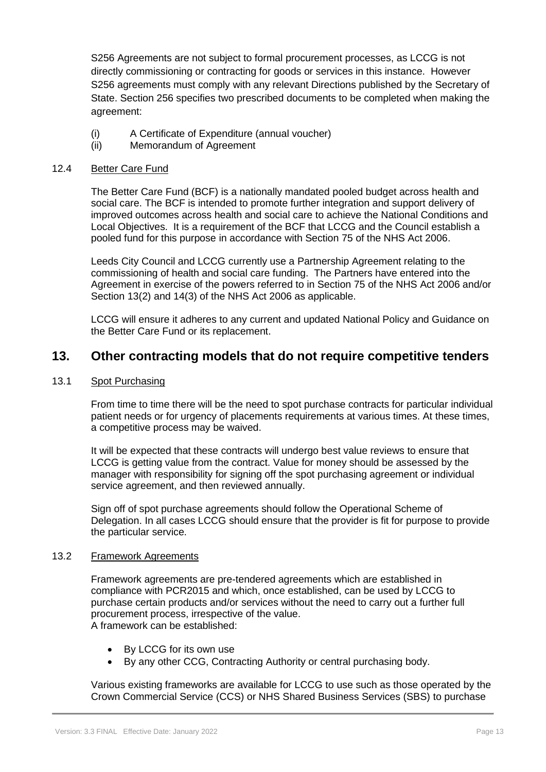S256 Agreements are not subject to formal procurement processes, as LCCG is not directly commissioning or contracting for goods or services in this instance. However S256 agreements must comply with any relevant Directions published by the Secretary of State. Section 256 specifies two prescribed documents to be completed when making the agreement:

- (i) A Certificate of Expenditure (annual voucher)
- (ii) Memorandum of Agreement

## 12.4 Better Care Fund

The Better Care Fund (BCF) is a nationally mandated pooled budget across health and social care. The BCF is intended to promote further integration and support delivery of improved outcomes across health and social care to achieve the National Conditions and Local Objectives. It is a requirement of the BCF that LCCG and the Council establish a pooled fund for this purpose in accordance with Section 75 of the NHS Act 2006.

Leeds City Council and LCCG currently use a Partnership Agreement relating to the commissioning of health and social care funding. The Partners have entered into the Agreement in exercise of the powers referred to in Section 75 of the NHS Act 2006 and/or Section 13(2) and 14(3) of the NHS Act 2006 as applicable.

LCCG will ensure it adheres to any current and updated National Policy and Guidance on the Better Care Fund or its replacement.

## **13. Other contracting models that do not require competitive tenders**

#### 13.1 Spot Purchasing

From time to time there will be the need to spot purchase contracts for particular individual patient needs or for urgency of placements requirements at various times. At these times, a competitive process may be waived.

It will be expected that these contracts will undergo best value reviews to ensure that LCCG is getting value from the contract. Value for money should be assessed by the manager with responsibility for signing off the spot purchasing agreement or individual service agreement, and then reviewed annually.

Sign off of spot purchase agreements should follow the Operational Scheme of Delegation. In all cases LCCG should ensure that the provider is fit for purpose to provide the particular service.

#### 13.2 Framework Agreements

Framework agreements are pre-tendered agreements which are established in compliance with PCR2015 and which, once established, can be used by LCCG to purchase certain products and/or services without the need to carry out a further full procurement process, irrespective of the value. A framework can be established:

- By LCCG for its own use
- By any other CCG, Contracting Authority or central purchasing body.

Various existing frameworks are available for LCCG to use such as those operated by the Crown Commercial Service (CCS) or NHS Shared Business Services (SBS) to purchase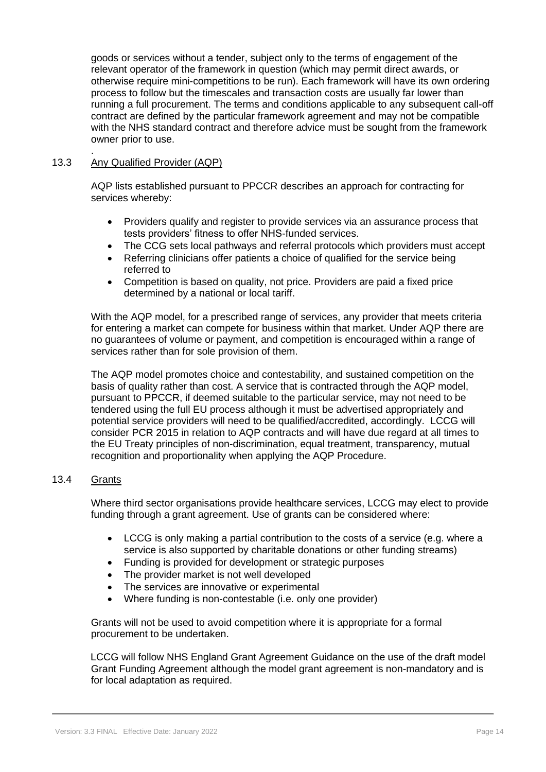goods or services without a tender, subject only to the terms of engagement of the relevant operator of the framework in question (which may permit direct awards, or otherwise require mini-competitions to be run). Each framework will have its own ordering process to follow but the timescales and transaction costs are usually far lower than running a full procurement. The terms and conditions applicable to any subsequent call-off contract are defined by the particular framework agreement and may not be compatible with the NHS standard contract and therefore advice must be sought from the framework owner prior to use.

#### . 13.3 Any Qualified Provider (AQP)

AQP lists established pursuant to PPCCR describes an approach for contracting for services whereby:

- Providers qualify and register to provide services via an assurance process that tests providers' fitness to offer NHS-funded services.
- The CCG sets local pathways and referral protocols which providers must accept
- Referring clinicians offer patients a choice of qualified for the service being referred to
- Competition is based on quality, not price. Providers are paid a fixed price determined by a national or local tariff.

With the AQP model, for a prescribed range of services, any provider that meets criteria for entering a market can compete for business within that market. Under AQP there are no guarantees of volume or payment, and competition is encouraged within a range of services rather than for sole provision of them.

The AQP model promotes choice and contestability, and sustained competition on the basis of quality rather than cost. A service that is contracted through the AQP model, pursuant to PPCCR, if deemed suitable to the particular service, may not need to be tendered using the full EU process although it must be advertised appropriately and potential service providers will need to be qualified/accredited, accordingly. LCCG will consider PCR 2015 in relation to AQP contracts and will have due regard at all times to the EU Treaty principles of non-discrimination, equal treatment, transparency, mutual recognition and proportionality when applying the AQP Procedure.

#### 13.4 Grants

Where third sector organisations provide healthcare services, LCCG may elect to provide funding through a grant agreement. Use of grants can be considered where:

- LCCG is only making a partial contribution to the costs of a service (e.g. where a service is also supported by charitable donations or other funding streams)
- Funding is provided for development or strategic purposes
- The provider market is not well developed
- The services are innovative or experimental
- Where funding is non-contestable (i.e. only one provider)

Grants will not be used to avoid competition where it is appropriate for a formal procurement to be undertaken.

 LCCG will follow NHS England Grant Agreement Guidance on the use of the draft model Grant Funding Agreement although the model grant agreement is non-mandatory and is for local adaptation as required.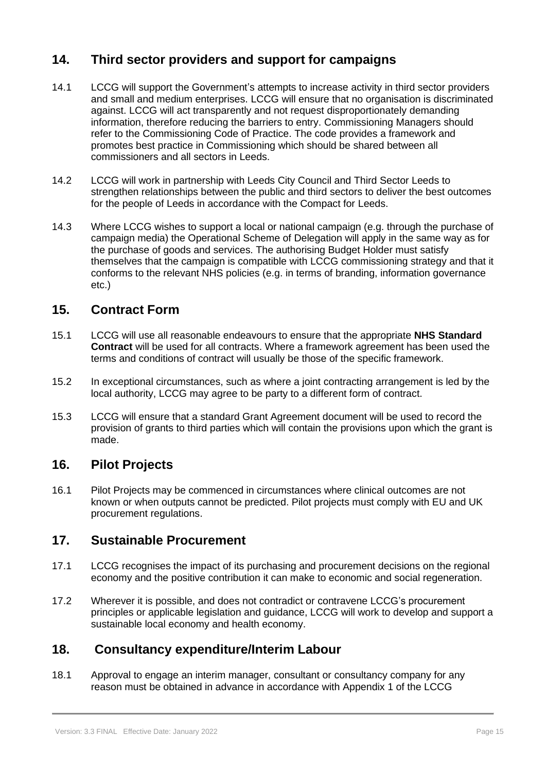# **14. Third sector providers and support for campaigns**

- 14.1 LCCG will support the Government's attempts to increase activity in third sector providers and small and medium enterprises. LCCG will ensure that no organisation is discriminated against. LCCG will act transparently and not request disproportionately demanding information, therefore reducing the barriers to entry. Commissioning Managers should refer to the Commissioning Code of Practice. The code provides a framework and promotes best practice in Commissioning which should be shared between all commissioners and all sectors in Leeds.
- 14.2 LCCG will work in partnership with Leeds City Council and Third Sector Leeds to strengthen relationships between the public and third sectors to deliver the best outcomes for the people of Leeds in accordance with the Compact for Leeds.
- 14.3 Where LCCG wishes to support a local or national campaign (e.g. through the purchase of campaign media) the Operational Scheme of Delegation will apply in the same way as for the purchase of goods and services. The authorising Budget Holder must satisfy themselves that the campaign is compatible with LCCG commissioning strategy and that it conforms to the relevant NHS policies (e.g. in terms of branding, information governance etc.)

# **15. Contract Form**

- 15.1 LCCG will use all reasonable endeavours to ensure that the appropriate **NHS Standard Contract** will be used for all contracts. Where a framework agreement has been used the terms and conditions of contract will usually be those of the specific framework.
- 15.2 In exceptional circumstances, such as where a joint contracting arrangement is led by the local authority, LCCG may agree to be party to a different form of contract.
- 15.3 LCCG will ensure that a standard Grant Agreement document will be used to record the provision of grants to third parties which will contain the provisions upon which the grant is made.

# **16. Pilot Projects**

16.1 Pilot Projects may be commenced in circumstances where clinical outcomes are not known or when outputs cannot be predicted. Pilot projects must comply with EU and UK procurement regulations.

# **17. Sustainable Procurement**

- 17.1 LCCG recognises the impact of its purchasing and procurement decisions on the regional economy and the positive contribution it can make to economic and social regeneration.
- 17.2 Wherever it is possible, and does not contradict or contravene LCCG's procurement principles or applicable legislation and guidance, LCCG will work to develop and support a sustainable local economy and health economy.

# **18. Consultancy expenditure/Interim Labour**

18.1 Approval to engage an interim manager, consultant or consultancy company for any reason must be obtained in advance in accordance with Appendix 1 of the LCCG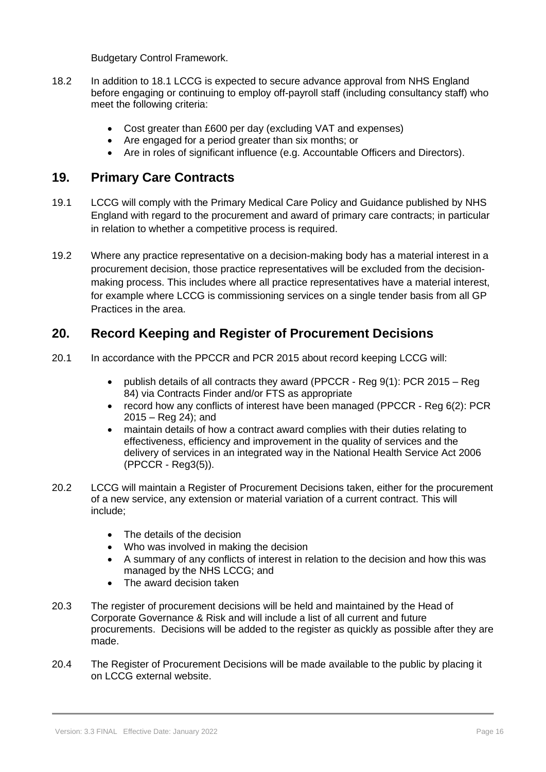Budgetary Control Framework.

- 18.2 In addition to 18.1 LCCG is expected to secure advance approval from NHS England before engaging or continuing to employ off-payroll staff (including consultancy staff) who meet the following criteria:
	- Cost greater than £600 per day (excluding VAT and expenses)
	- Are engaged for a period greater than six months; or
	- Are in roles of significant influence (e.g. Accountable Officers and Directors).

## **19. Primary Care Contracts**

- 19.1 LCCG will comply with the Primary Medical Care Policy and Guidance published by NHS England with regard to the procurement and award of primary care contracts; in particular in relation to whether a competitive process is required.
- 19.2 Where any practice representative on a decision-making body has a material interest in a procurement decision, those practice representatives will be excluded from the decisionmaking process. This includes where all practice representatives have a material interest, for example where LCCG is commissioning services on a single tender basis from all GP Practices in the area.

# **20. Record Keeping and Register of Procurement Decisions**

- 20.1 In accordance with the PPCCR and PCR 2015 about record keeping LCCG will:
	- publish details of all contracts they award (PPCCR Reg 9(1): PCR 2015 Reg 84) via Contracts Finder and/or FTS as appropriate
	- record how any conflicts of interest have been managed (PPCCR Reg 6(2): PCR 2015 – Reg 24); and
	- maintain details of how a contract award complies with their duties relating to effectiveness, efficiency and improvement in the quality of services and the delivery of services in an integrated way in the National Health Service Act 2006 (PPCCR - Reg3(5)).
- 20.2 LCCG will maintain a Register of Procurement Decisions taken, either for the procurement of a new service, any extension or material variation of a current contract. This will include;
	- The details of the decision
	- Who was involved in making the decision
	- A summary of any conflicts of interest in relation to the decision and how this was managed by the NHS LCCG; and
	- The award decision taken
- 20.3 The register of procurement decisions will be held and maintained by the Head of Corporate Governance & Risk and will include a list of all current and future procurements. Decisions will be added to the register as quickly as possible after they are made.
- 20.4 The Register of Procurement Decisions will be made available to the public by placing it on LCCG external website.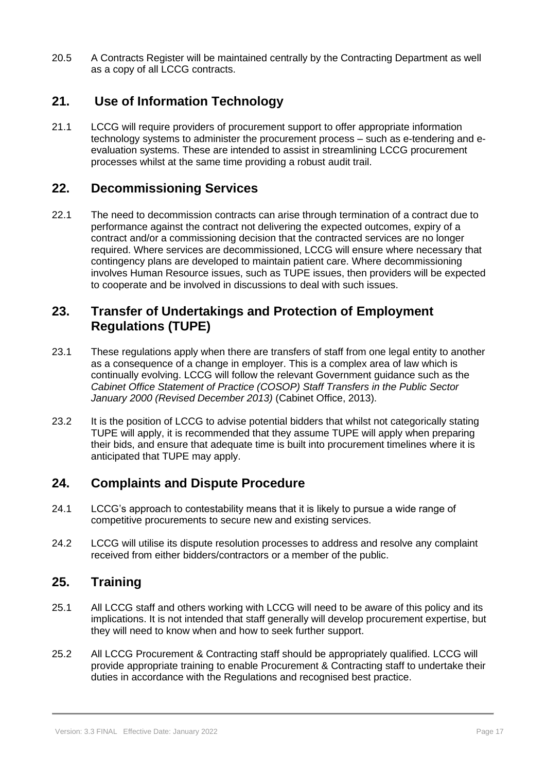20.5 A Contracts Register will be maintained centrally by the Contracting Department as well as a copy of all LCCG contracts.

# **21. Use of Information Technology**

21.1 LCCG will require providers of procurement support to offer appropriate information technology systems to administer the procurement process – such as e-tendering and eevaluation systems. These are intended to assist in streamlining LCCG procurement processes whilst at the same time providing a robust audit trail.

## **22. Decommissioning Services**

22.1 The need to decommission contracts can arise through termination of a contract due to performance against the contract not delivering the expected outcomes, expiry of a contract and/or a commissioning decision that the contracted services are no longer required. Where services are decommissioned, LCCG will ensure where necessary that contingency plans are developed to maintain patient care. Where decommissioning involves Human Resource issues, such as TUPE issues, then providers will be expected to cooperate and be involved in discussions to deal with such issues.

## **23. Transfer of Undertakings and Protection of Employment Regulations (TUPE)**

- 23.1 These regulations apply when there are transfers of staff from one legal entity to another as a consequence of a change in employer. This is a complex area of law which is continually evolving. LCCG will follow the relevant Government guidance such as the *Cabinet Office Statement of Practice (COSOP) Staff Transfers in the Public Sector January 2000 (Revised December 2013)* (Cabinet Office, 2013).
- 23.2 It is the position of LCCG to advise potential bidders that whilst not categorically stating TUPE will apply, it is recommended that they assume TUPE will apply when preparing their bids, and ensure that adequate time is built into procurement timelines where it is anticipated that TUPE may apply.

# **24. Complaints and Dispute Procedure**

- 24.1 LCCG's approach to contestability means that it is likely to pursue a wide range of competitive procurements to secure new and existing services.
- 24.2 LCCG will utilise its dispute resolution processes to address and resolve any complaint received from either bidders/contractors or a member of the public.

# **25. Training**

- 25.1 All LCCG staff and others working with LCCG will need to be aware of this policy and its implications. It is not intended that staff generally will develop procurement expertise, but they will need to know when and how to seek further support.
- 25.2 All LCCG Procurement & Contracting staff should be appropriately qualified. LCCG will provide appropriate training to enable Procurement & Contracting staff to undertake their duties in accordance with the Regulations and recognised best practice.